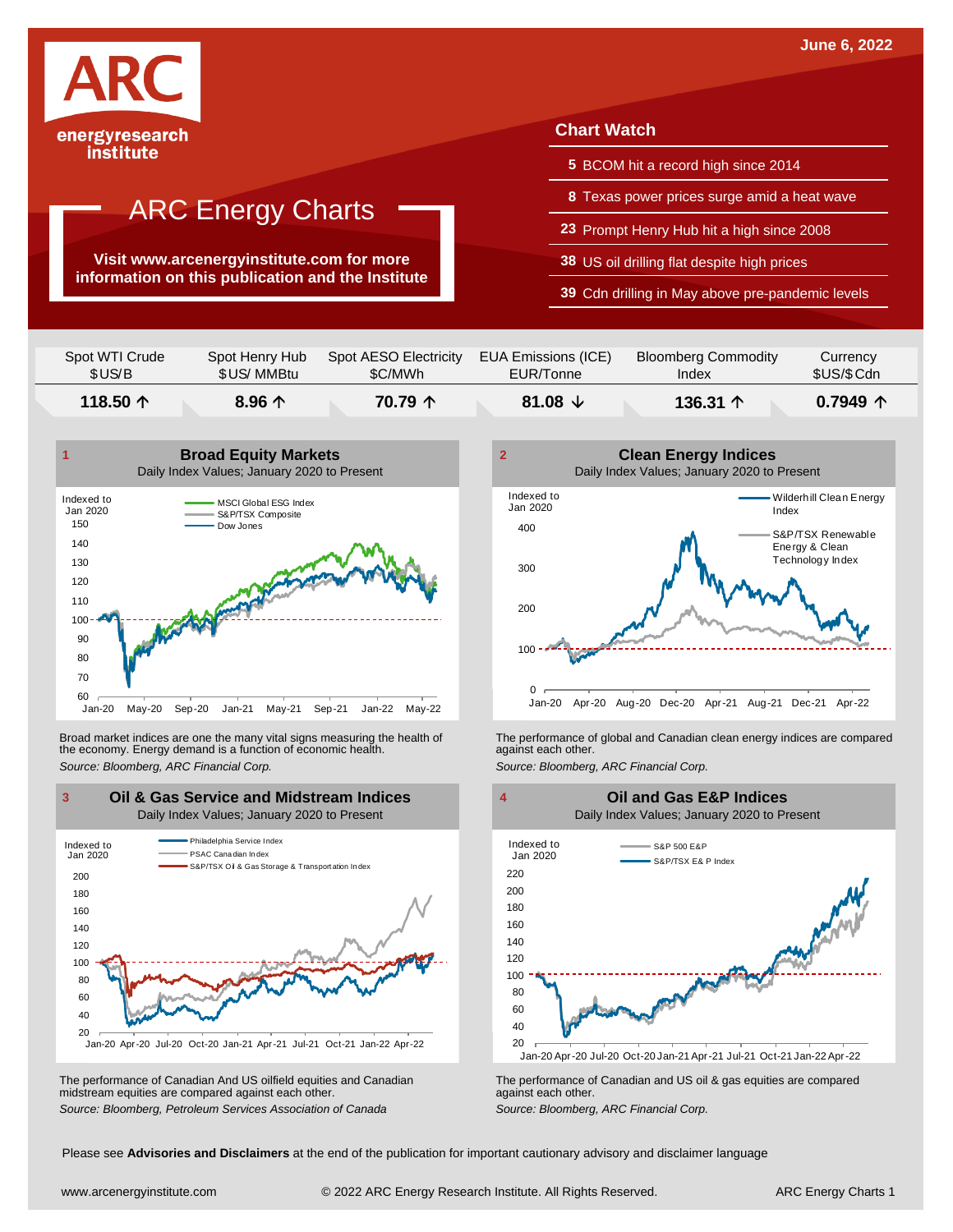

**Visit www.arcenergyinstitute.com for more information on this publication and the Institute**

#### **Chart Watch**

- **5** BCOM hit a record high since 2014
- **8** Texas power prices surge amid a heat wave
- **23** Prompt Henry Hub hit a high since 2008
- **38** US oil drilling flat despite high prices
- **39** Cdn drilling in May above pre-pandemic levels

| Spot WTI Crude    | Spot Henry Hub  | Spot AESO Electricity | EUA Emissions (ICE) | <b>Bloomberg Commodity</b> | Currency            |
|-------------------|-----------------|-----------------------|---------------------|----------------------------|---------------------|
| \$US/B            | \$US/ MMBtu     | \$C/MWh               | EUR/Tonne           | Index                      | \$US/\$Cdn          |
| 118.50 $\uparrow$ | 8.96 $\uparrow$ | 70.79 个               | 81.08 $\sqrt{ }$    | 136.31 $\uparrow$          | $0.7949$ $\uparrow$ |



Broad market indices are one the many vital signs measuring the health of the economy. Energy demand is a function of economic health. Broad market indices are one the many vital signs measuring the health of The performance of global and Canadian clean energy indices are compared<br>the economy. Energy demand is a function of economic health.<br>Source: Bloomb



The performance of Canadian And US oilfield equities and Canadian midstream equities are compared against each other. The performance of Canadian And US oilfield equities and Canadian **Frank Constant Prank Constant Prank Constant**<br>The performance of Canadian and US oil & gas equities are compared<br>Source: Bloomberg, Petroleum Services Asso



S&P 500 E&P S&P/TSX E& P Index Indexed to Jan 2020 **Oil and Gas E&P Indices** Daily Index Values; January 2020 to Present



Please see **Advisories and Disclaimers** at the end of the publication for important cautionary advisory and disclaimer language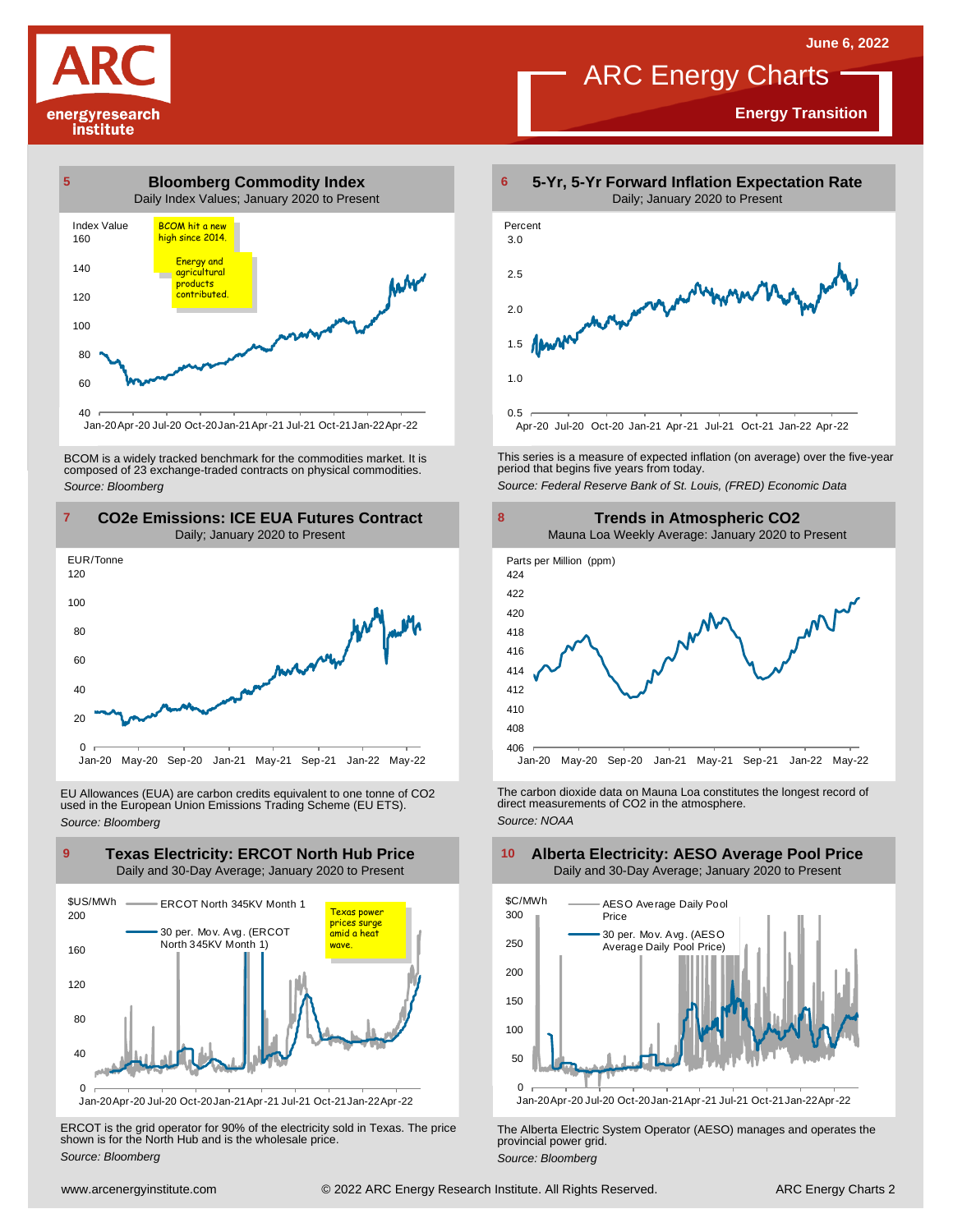**Energy Transition**

## ARC Energy Charts





BCOM is <sup>a</sup> widely tracked benchmark for the commodities market. It is composed of <sup>23</sup> exchange-traded contracts on physical commodities. *Source: Bloomberg*



EU Allowances (EUA) are carbon credits equivalent to one tonne of CO2 used in the European Union Emissions Trading Scheme (EU ETS). *Source: Bloomberg*



ERCOT is the grid operator for 90% of the electricity sold in Texas. The price shown is for the North Hub and is the wholesale price. *Source: Bloomberg*



This series is <sup>a</sup> measure of expected inflation (on average) over the five-year period that begins five years from today. *Source: Federal Reserve Bank of St. Louis, (FRED) Economic Data*



The carbon dioxide data on Mauna Loa constitutes the longest record of direct measurements of CO2 in the atmosphere. *Source: NOAA*



The Alberta Electric System Operator (AESO) manages and operates the provincial power grid. *Source: Bloomberg*

#### **Alberta Electricity: AESO Average Pool Price** Daily and 30-Day Average; January 2020 to Present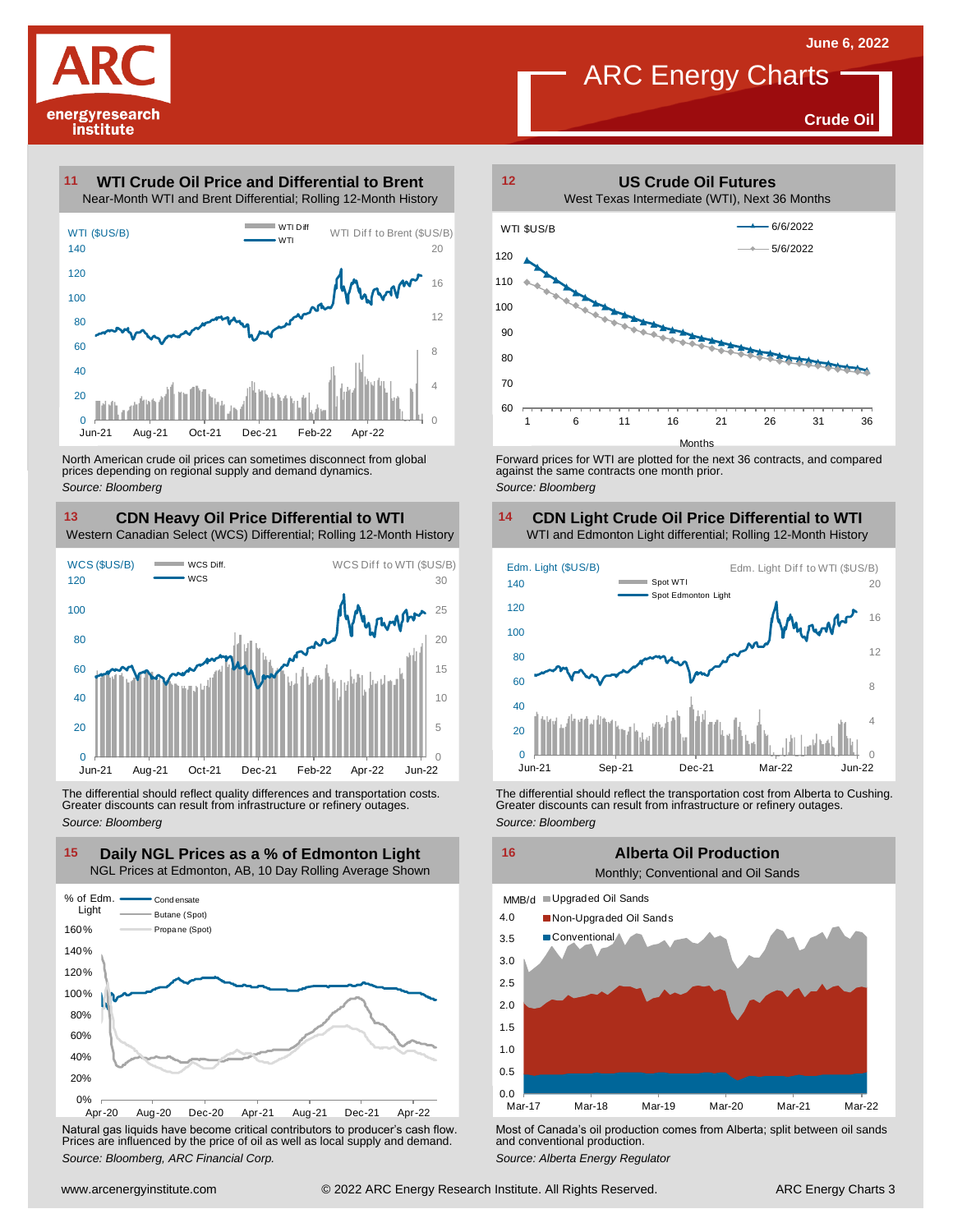

**Crude Oil**

#### **WTI Crude Oil Price and Differential to Brent 11**



North American crude oil prices can sometimes disconnect from global prices depending on regional supply and demand dynamics. *Source: Bloomberg*

#### **CDN Heavy Oil Price Differential to WTI 13 14**

Western Canadian Select (WCS) Differential; Rolling 12-Month History



The differential should reflect quality differences and transportation costs. Greater discounts can result from infrastructure or refinery outages. *Source: Bloomberg*



Natural gas liquids have become critical contributors to producer's cash flow. Most of Canada's oil production comes from Alberta; split between oil sands<br>Prices are influenced by the price of oil as well as local supply a



Forward prices for WTI are plotted for the next 36 contracts, and compared against the same contracts one month prior. *Source: Bloomberg*

### **CDN Light Crude Oil Price Differential to WTI**



The differential should reflect the transportation cost from Alberta to Cushing.<br>
Greater discounts can result from infrastructure or refinery outages.<br>
Source: *Bloomberg*<br> **Alberta Oil Production**<br>
Monthly; Conventional

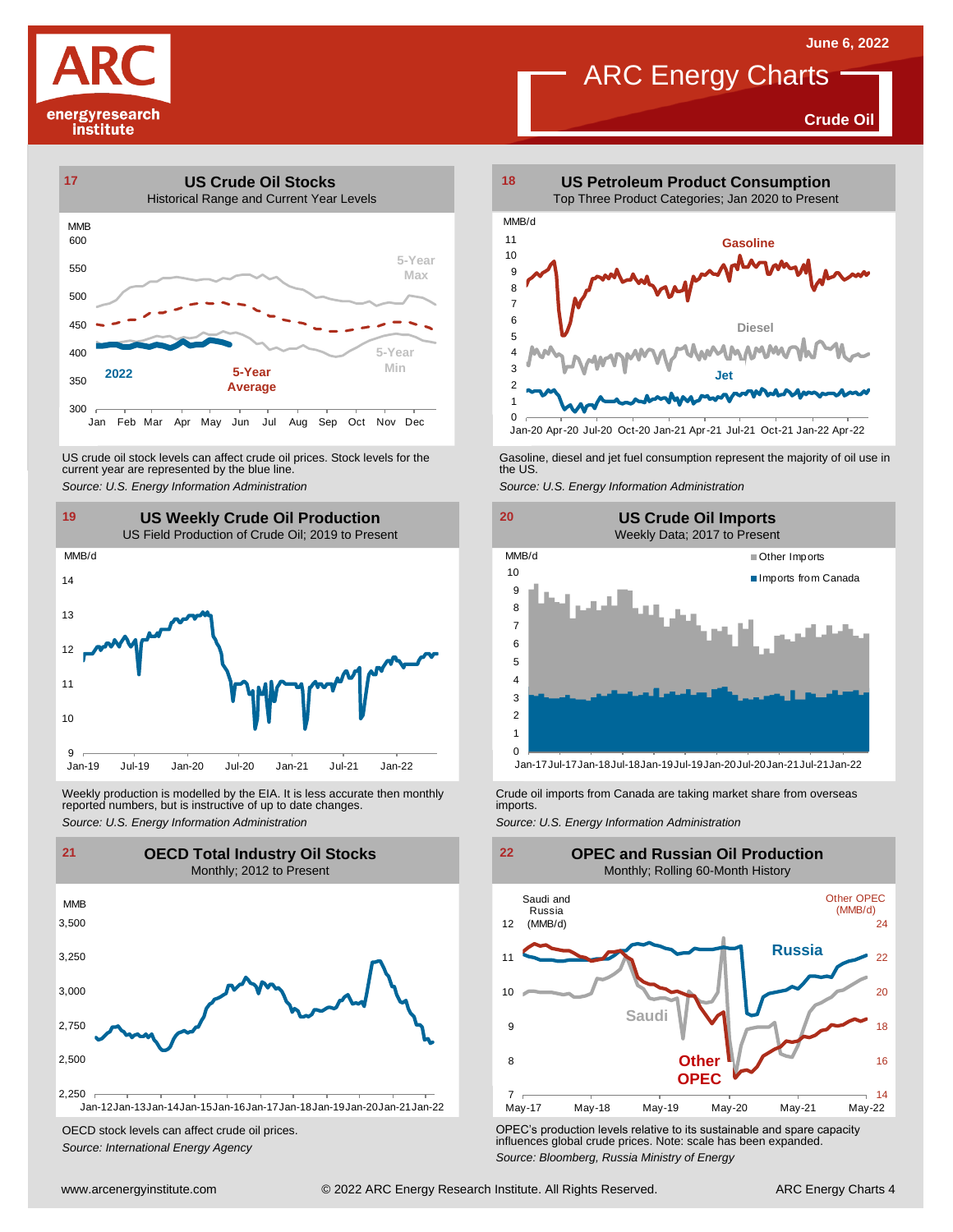**Crude Oil**





US crude oil stock levels can affect crude oil prices. Stock levels for the current year are represented by the blue line. US crude oil stock levels can affect crude oil prices. Stock levels for the Gasoline, diesel and jet fuel consumption represent the majority of oil use in<br>current year are represented by the blue line.<br>Source: U.S. Energy



Weekly production is modelled by the EIA. It is less accurate then monthly reported numbers, but is instructive of up to date changes. Weekly production is modelled by the EIA. It is less accurate then monthly Crude oil imports from Canada are taking market share from overseas<br>
reported numbers, but is instructive of up to date changes.<br>
Source: U.S. Ener



OECD stock levels can affect crude oil prices. *Source: International Energy Agency*



Jan-20 Apr-20 Jul-20 Oct-20 Jan-21 Apr-21 Jul-21 Oct-21 Jan-22 Apr-22





OPEC's production levels relative to its sustainable and spare capacity influences global crude prices. Note: scale has been expanded. *Source: Bloomberg, Russia Ministry of Energy*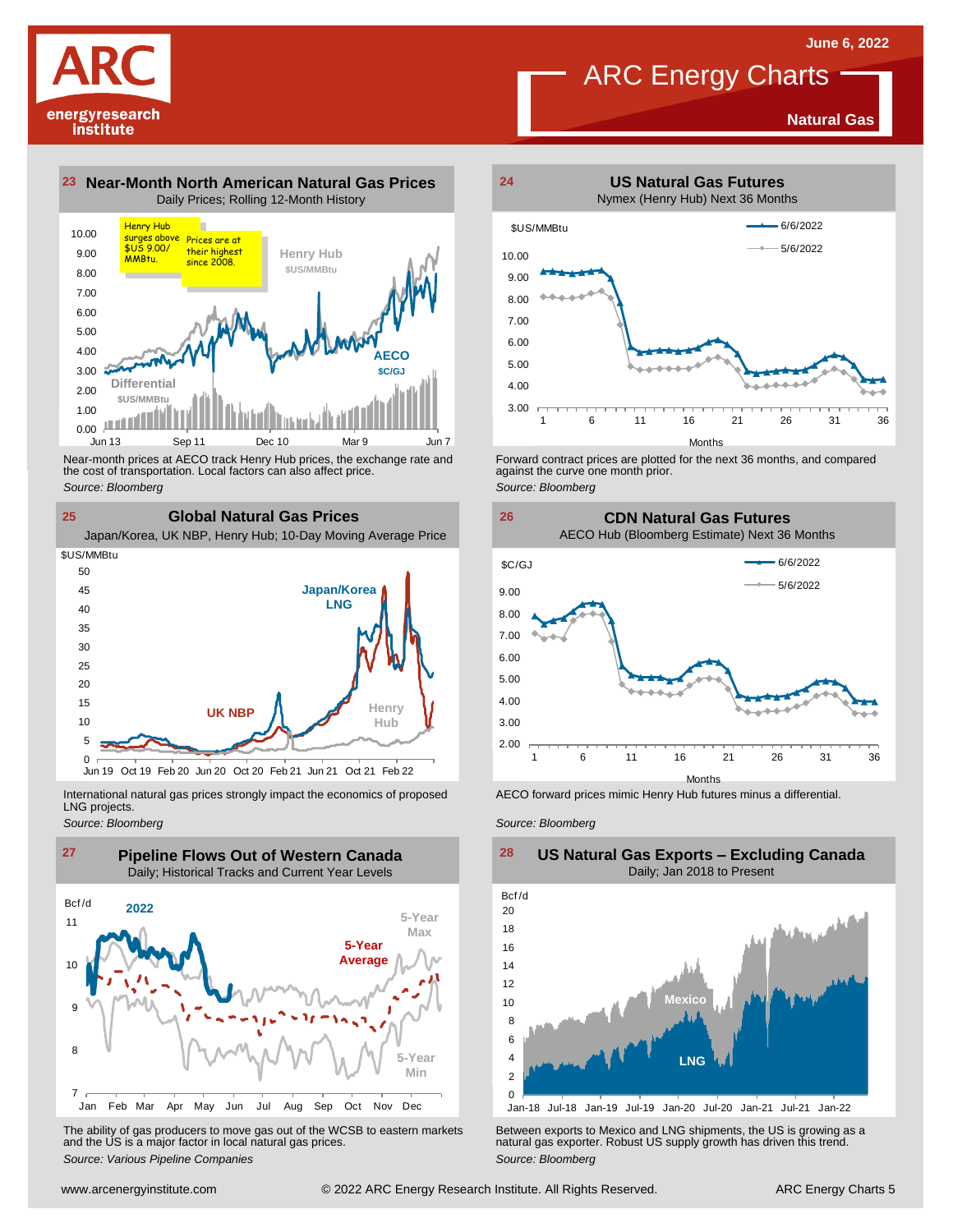**Natural Gas**

## ARC Energy Charts



**23 Near-Month North American Natural Gas Prices 24** Daily Prices; Rolling 12-Month History



Near-month prices at AECO track Henry Hub prices, the exchange rate and<br>the cost of transportation. Local factors can also affect price.<br>Source: Bloomberg<br>**CIObal Natural Gas Prices**<br>Japan/Korea, UK NBP, Henry Hub; 10-Day the cost of transportation. Local factors can also affect price. *Source: Bloomberg*

**25 Global Natural Gas Prices Japan/Korea LNG Henry Hub UK NBP**  $0 \ \overline{\smash)$ Jun 19 5 10 15  $20$ 25 30 35  $40$ 45 50 Oct 19 Feb 20 Jun 20 Oct 20 Feb 21 Jun 21 Oct 21 Feb 22 \$US/MMBtu

International natural gas prices strongly impact the economics of proposed LNG projects.

*Source: Bloomberg*



The ability of gas producers to move gas out of the WCSB to eastern markets Between exports to Mexico and LNG shipments, the US is growing as a<br>and the US is a major factor in local natural gas prices.<br>Source: Bloomberg Va



Forward contract prices are plotted for the next <sup>36</sup> months, and compared against the curve one month prior. *Source: Bloomberg*

**26 CDN Natural Gas Futures**

AECO Hub (Bloomberg Estimate) Next 36 Months



AECO forward prices mimic Henry Hub futures minus a differential.

*Source: Bloomberg*



**US Natural Gas Exports – Excluding Canada**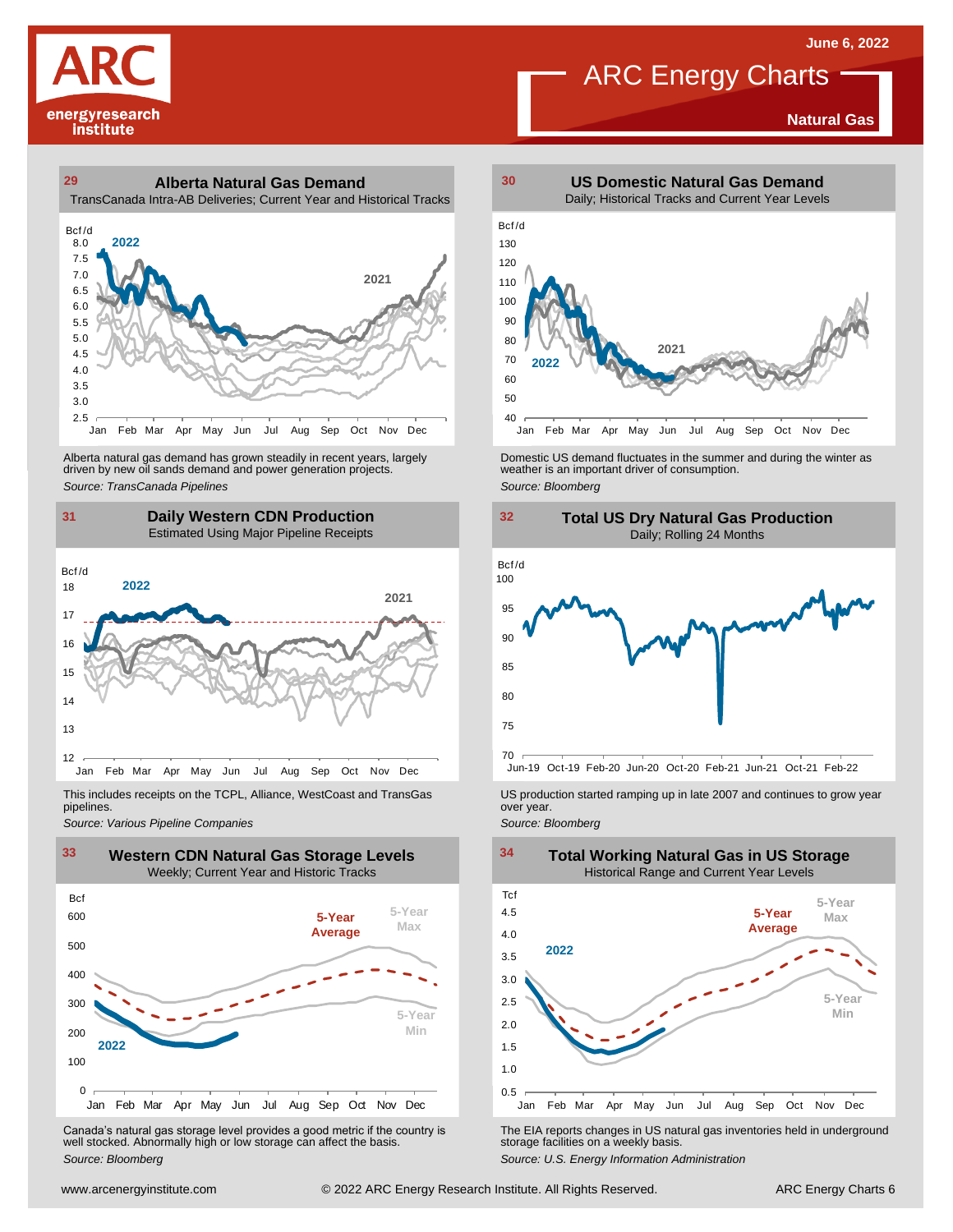



**29 30 Alberta Natural Gas Demand** TransCanada Intra-AB Deliveries; Current Year and Historical Tracks



Alberta natural gas demand has grown steadily in recent years, largely<br>
driven by new oil sands demand and power generation projects.<br>
Source: *Bloomberg*<br>
Source: *Bloomberg*<br>
Daily Western CDN Production<br>
Estimated Using Alberta natural gas demand has grown steadily in recent years, largely **Domestic US demand fluctuates in the summer** and during the winter as driven by new oil sands demand and power generation projects.<br>Ariven by new oil





This includes receipts on the TCPL, Alliance, WestCoast and TransGas pipelines.



WE Canada's natural gas storage level provides a good metric if the country is<br>
Canada's natural gas storage level provides a good metric if the country is<br>
Well stocked. Abnormally high or low storage can affect the basi Canada's natural gas storage level provides <sup>a</sup> good metric if the country is well stocked. Abnormally high or low storage can affect the basis. *Source: Bloomberg*







*Source: Pipelines Pipelines Pipelines Pipelines Pipelines Companies Pipeline Pipelines Pipelines Pipelines Pipelines Companies Pipeline Companies Pipeline Companies Pipeline Companies Pip* 



The EIA reports changes in US natural gas inventories held in underground storage facilities on <sup>a</sup> weekly basis.

*Source: U.S. Energy Information Administration*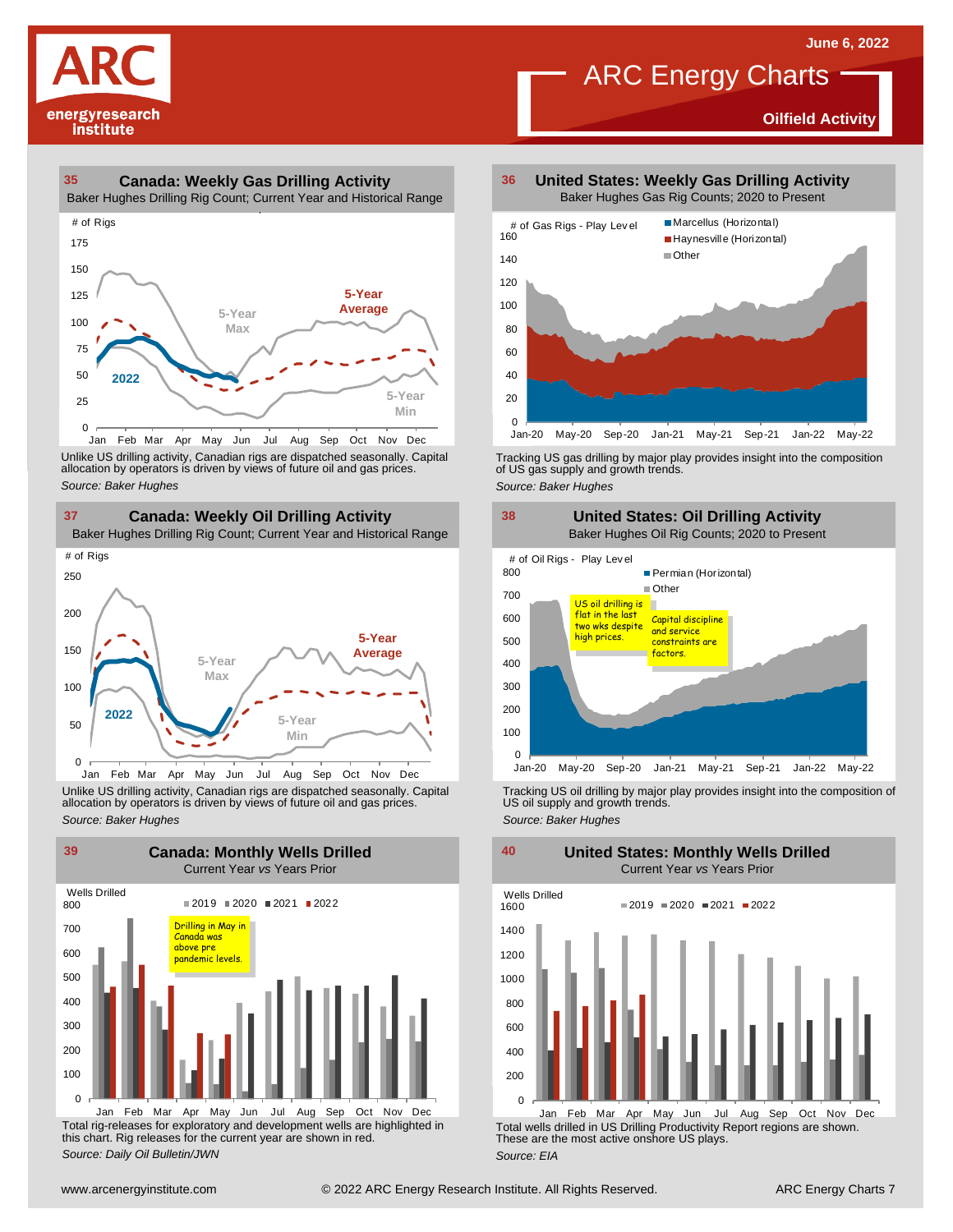**Oilfield Activity**



#### **35 36 Canada: Weekly Gas Drilling Activity**

Baker Hughes Drilling Rig Count; Current Year and Historical Range



Unlike US drilling activity, Canadian rigs are dispatched seasonally. Capital<br>allocation by operators is driven by views of future oil and gas prices. 0<br>Jan Feb Mar<br>Unlike US drilling activi<br>allocation by operators<br>Source: *Baker Hughes* 



Unlike US drilling activity, Canadian rigs are dispatched seasonally. Capital Tracking US oil drilling by major play provides insight into the composition of<br>allocation by operators is driven by views of future oil and gas



Total rig-releases for exploratory and development wells are highlighted in this chart. Rig releases for the current year are shown in red. *Source: Daily Oil Bulletin/JWN* Jan Feb Mar Apr May Jun Jul Aug Sep Oct Nov Dec

**United States: Weekly Gas Drilling Activity** Baker Hughes Gas Rig Counts; 2020 to Present

ARC Energy Charts



Tracking US gas drilling by major play provides insight into the composition of US gas supply and growth trends.

*Source: Baker Hughes*



Tracking US oil drilling by major play provides insight into the composition of US oil supply and growth trends. *Source: Baker Hughes*

**United States: Monthly Wells Drilled**

 $\Omega$ 200 400 600 800 1000 1200 1400 1600 Wells Drilled  $2019 = 2020 = 2021 = 2022$ 

Total wells drilled in US Drilling Productivity Report regions are shown. These are the most active onshore US plays. *Source: EIA* Jan Feb Mar Apr May Jun Jul Aug Sep Oct Nov Dec